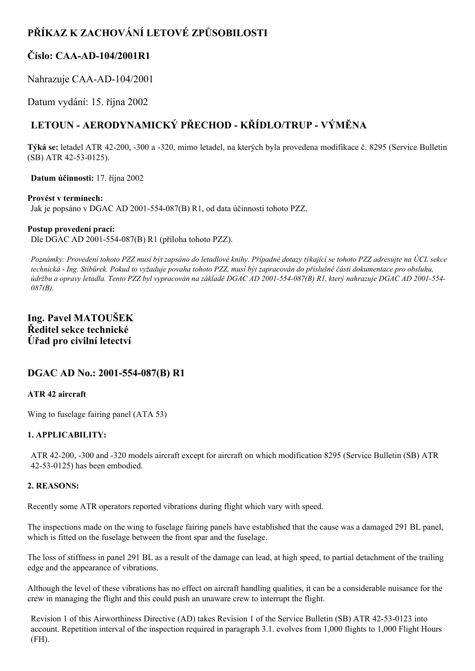## **PŘÍKAZ K ZACHOVÁNÍ LETOVÉ ZPŮSOBILOSTI**

### **Číslo: CAAAD104/2001R1**

Nahrazuje CAA-AD-104/2001

Datum vydání: 15. října 2002

# **LETOUN AERODYNAMICKÝ PŘECHOD KŘÍDLO/TRUP VÝMĚNA**

**Týká se:** letadel ATR 42200, 300 a 320, mimo letadel, na kterých byla provedena modifikace č. 8295 (Service Bulletin (SB) ATR 42-53-0125).

**Datum účinnosti:** 17. října 2002

**Provést v termínech:** Jak je popsáno v DGAC AD 2001-554-087(B) R1, od data účinnosti tohoto PZZ.

#### **Postup provedení prací:**

Dle DGAC AD 2001-554-087(B) R1 (příloha tohoto PZZ).

Poznámky: Provedení tohoto PZZ musí být zapsáno do letadlové knihy. Případné dotazy týkající se tohoto PZZ adresujte na ÚCL sekce technická - Ing. Stibůrek. Pokud to vyžaduje povaha tohoto PZZ, musí být zapracován do příslušné části dokumentace pro obsluhu, údržbu a opravy letadla. Tento PZZ byl vypracován na základě DGAC AD 2001-554-087(B) R1, který nahrazuje DGAC AD 2001-554-*087(B).*

**Ing. Pavel MATOUŠEK Ředitel sekce technické Úřad pro civilní letectví**

#### **DGAC AD No.: 2001554087(B) R1**

#### **ATR 42 aircraft**

Wing to fuselage fairing panel (ATA 53)

#### **1. APPLICABILITY:**

ATR 42200, 300 and 320 models aircraft except for aircraft on which modification 8295 (Service Bulletin (SB) ATR 42-53-0125) has been embodied.

#### **2. REASONS:**

Recently some ATR operators reported vibrations during flight which vary with speed.

The inspections made on the wing to fuselage fairing panels have established that the cause was a damaged 291 BL panel, which is fitted on the fuselage between the front spar and the fuselage.

The loss of stiffness in panel 291 BL as a result of the damage can lead, at high speed, to partial detachment of the trailing edge and the appearance of vibrations.

Although the level of these vibrations has no effect on aircraft handling qualities, it can be a considerable nuisance for the crew in managing the flight and this could push an unaware crew to interrupt the flight.

Revision 1 of this Airworthiness Directive (AD) takes Revision 1 of the Service Bulletin (SB) ATR 42-53-0123 into account. Repetition interval of the inspection required in paragraph 3.1. evolves from 1,000 flights to 1,000 Flight Hours (FH).